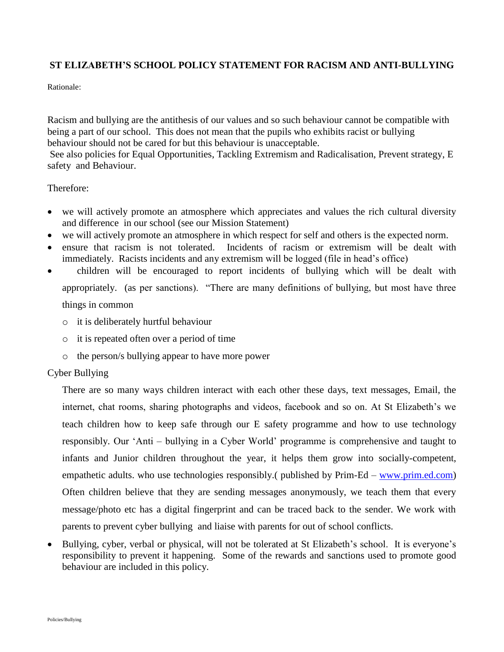## **ST ELIZABETH'S SCHOOL POLICY STATEMENT FOR RACISM AND ANTI-BULLYING**

Rationale:

Racism and bullying are the antithesis of our values and so such behaviour cannot be compatible with being a part of our school. This does not mean that the pupils who exhibits racist or bullying behaviour should not be cared for but this behaviour is unacceptable.

See also policies for Equal Opportunities, Tackling Extremism and Radicalisation, Prevent strategy, E safety and Behaviour.

Therefore:

- we will actively promote an atmosphere which appreciates and values the rich cultural diversity and difference in our school (see our Mission Statement)
- we will actively promote an atmosphere in which respect for self and others is the expected norm.
- ensure that racism is not tolerated. Incidents of racism or extremism will be dealt with immediately. Racists incidents and any extremism will be logged (file in head's office)
- children will be encouraged to report incidents of bullying which will be dealt with appropriately. (as per sanctions). "There are many definitions of bullying, but most have three things in common
	- o it is deliberately hurtful behaviour
	- o it is repeated often over a period of time
	- o the person/s bullying appear to have more power

## Cyber Bullying

There are so many ways children interact with each other these days, text messages, Email, the internet, chat rooms, sharing photographs and videos, facebook and so on. At St Elizabeth's we teach children how to keep safe through our E safety programme and how to use technology responsibly. Our 'Anti – bullying in a Cyber World' programme is comprehensive and taught to infants and Junior children throughout the year, it helps them grow into socially-competent, empathetic adults. who use technologies responsibly. (published by Prim-Ed – [www.prim.ed.com\)](http://www.prim.ed.com/) Often children believe that they are sending messages anonymously, we teach them that every message/photo etc has a digital fingerprint and can be traced back to the sender. We work with parents to prevent cyber bullying and liaise with parents for out of school conflicts.

• Bullying, cyber, verbal or physical, will not be tolerated at St Elizabeth's school. It is everyone's responsibility to prevent it happening. Some of the rewards and sanctions used to promote good behaviour are included in this policy.